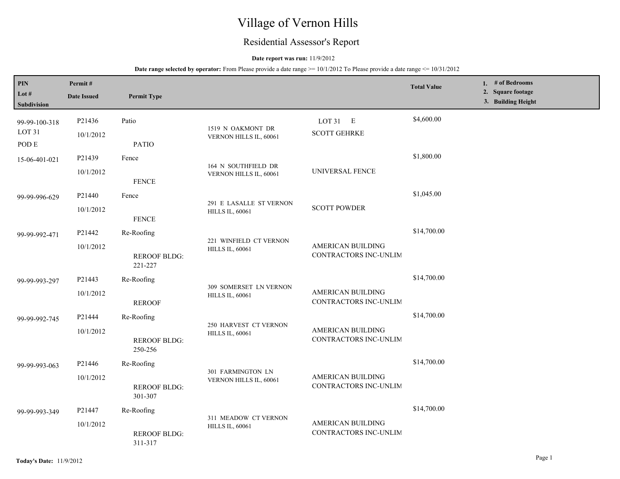# Village of Vernon Hills

## Residential Assessor's Report

### **Date report was run:** 11/9/2012

| PIN<br>Lot #<br>Subdivision        | Permit#<br><b>Date Issued</b> | <b>Permit Type</b>                                                            |                                                  |                                            | <b>Total Value</b> | 1. # of Bedrooms<br>2. Square footage<br>3. Building Height |
|------------------------------------|-------------------------------|-------------------------------------------------------------------------------|--------------------------------------------------|--------------------------------------------|--------------------|-------------------------------------------------------------|
| 99-99-100-318<br>LOT <sub>31</sub> | P21436<br>10/1/2012           | Patio                                                                         | 1519 N OAKMONT DR<br>VERNON HILLS IL, 60061      | LOT $31$ E<br><b>SCOTT GEHRKE</b>          | \$4,600.00         |                                                             |
| POD E                              |                               | <b>PATIO</b>                                                                  |                                                  |                                            |                    |                                                             |
| 15-06-401-021                      | P21439                        | Fence                                                                         | 164 N SOUTHFIELD DR                              |                                            | \$1,800.00         |                                                             |
|                                    | 10/1/2012                     | <b>FENCE</b>                                                                  | VERNON HILLS IL, 60061                           | UNIVERSAL FENCE                            |                    |                                                             |
| 99-99-996-629                      | P21440                        | Fence                                                                         | 291 E LASALLE ST VERNON                          |                                            | \$1,045.00         |                                                             |
|                                    | 10/1/2012                     | <b>FENCE</b>                                                                  | <b>HILLS IL, 60061</b>                           | <b>SCOTT POWDER</b>                        |                    |                                                             |
| 99-99-992-471                      | P21442                        | Re-Roofing                                                                    | 221 WINFIELD CT VERNON                           |                                            | \$14,700.00        |                                                             |
|                                    | 10/1/2012                     | AMERICAN BUILDING<br><b>HILLS IL, 60061</b><br><b>REROOF BLDG:</b><br>221-227 | CONTRACTORS INC-UNLIM                            |                                            |                    |                                                             |
| 99-99-993-297                      | P21443                        | Re-Roofing                                                                    |                                                  |                                            | \$14,700.00        |                                                             |
|                                    | 10/1/2012                     | <b>REROOF</b>                                                                 | 309 SOMERSET LN VERNON<br><b>HILLS IL, 60061</b> | AMERICAN BUILDING<br>CONTRACTORS INC-UNLIM |                    |                                                             |
| 99-99-992-745                      | P21444                        | Re-Roofing                                                                    |                                                  |                                            | \$14,700.00        |                                                             |
|                                    | 10/1/2012                     | <b>REROOF BLDG:</b><br>250-256                                                | 250 HARVEST CT VERNON<br><b>HILLS IL, 60061</b>  | AMERICAN BUILDING<br>CONTRACTORS INC-UNLIM |                    |                                                             |
| 99-99-993-063                      | P21446                        | Re-Roofing                                                                    |                                                  |                                            | \$14,700.00        |                                                             |
|                                    | 10/1/2012                     | <b>REROOF BLDG:</b><br>301-307                                                | 301 FARMINGTON LN<br>VERNON HILLS IL, 60061      | AMERICAN BUILDING<br>CONTRACTORS INC-UNLIM |                    |                                                             |
| 99-99-993-349                      | P21447                        | Re-Roofing                                                                    |                                                  |                                            | \$14,700.00        |                                                             |
|                                    | 10/1/2012                     | <b>REROOF BLDG:</b><br>311-317                                                | 311 MEADOW CT VERNON<br><b>HILLS IL, 60061</b>   | AMERICAN BUILDING<br>CONTRACTORS INC-UNLIM |                    |                                                             |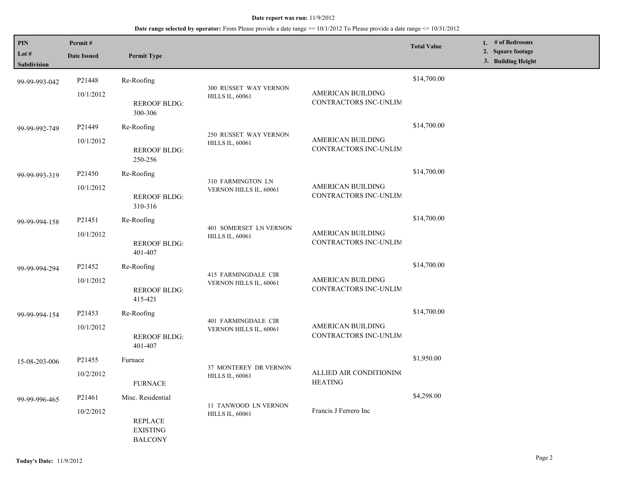| PIN<br>Lot $#$<br>Subdivision | Permit#<br><b>Date Issued</b> | <b>Permit Type</b>                                  |                                                  |                                                   | <b>Total Value</b> | 1. # of Bedrooms<br>2. Square footage<br>3. Building Height |
|-------------------------------|-------------------------------|-----------------------------------------------------|--------------------------------------------------|---------------------------------------------------|--------------------|-------------------------------------------------------------|
|                               |                               |                                                     |                                                  |                                                   |                    |                                                             |
| 99-99-993-042                 | P21448                        | Re-Roofing                                          | 300 RUSSET WAY VERNON                            |                                                   | \$14,700.00        |                                                             |
|                               | 10/1/2012                     | <b>REROOF BLDG:</b><br>300-306                      | <b>HILLS IL, 60061</b>                           | AMERICAN BUILDING<br>CONTRACTORS INC-UNLIM        |                    |                                                             |
| 99-99-992-749                 | P21449                        | Re-Roofing                                          |                                                  |                                                   | \$14,700.00        |                                                             |
|                               | 10/1/2012                     | <b>REROOF BLDG:</b><br>250-256                      | 250 RUSSET WAY VERNON<br><b>HILLS IL, 60061</b>  | AMERICAN BUILDING<br>CONTRACTORS INC-UNLIM        |                    |                                                             |
| 99-99-993-319                 | P21450                        | Re-Roofing                                          |                                                  |                                                   | \$14,700.00        |                                                             |
|                               | 10/1/2012                     | <b>REROOF BLDG:</b><br>310-316                      | 310 FARMINGTON LN<br>VERNON HILLS IL, 60061      | <b>AMERICAN BUILDING</b><br>CONTRACTORS INC-UNLIM |                    |                                                             |
| 99-99-994-158                 | P <sub>2</sub> 1451           | Re-Roofing                                          |                                                  |                                                   | \$14,700.00        |                                                             |
|                               | 10/1/2012                     | <b>REROOF BLDG:</b><br>401-407                      | 401 SOMERSET LN VERNON<br><b>HILLS IL, 60061</b> | <b>AMERICAN BUILDING</b><br>CONTRACTORS INC-UNLIM |                    |                                                             |
| 99-99-994-294                 | P21452                        | Re-Roofing                                          | 415 FARMINGDALE CIR<br>VERNON HILLS IL, 60061    |                                                   | \$14,700.00        |                                                             |
|                               | 10/1/2012                     | <b>REROOF BLDG:</b><br>415-421                      |                                                  | AMERICAN BUILDING<br>CONTRACTORS INC-UNLIM        |                    |                                                             |
| 99-99-994-154                 | P21453                        | Re-Roofing                                          |                                                  |                                                   | \$14,700.00        |                                                             |
|                               | 10/1/2012                     | <b>REROOF BLDG:</b><br>401-407                      | 401 FARMINGDALE CIR<br>VERNON HILLS IL, 60061    | AMERICAN BUILDING<br>CONTRACTORS INC-UNLIM        |                    |                                                             |
| 15-08-203-006                 | P21455                        | Furnace                                             |                                                  |                                                   | \$1,950.00         |                                                             |
|                               | 10/2/2012                     | <b>FURNACE</b>                                      | 37 MONTEREY DR VERNON<br><b>HILLS IL, 60061</b>  | ALLIED AIR CONDITIONING<br><b>HEATING</b>         |                    |                                                             |
| 99-99-996-465                 | P21461                        | Misc. Residential                                   |                                                  |                                                   | \$4,298.00         |                                                             |
|                               | 10/2/2012                     | <b>REPLACE</b><br><b>EXISTING</b><br><b>BALCONY</b> | 11 TANWOOD LN VERNON<br><b>HILLS IL, 60061</b>   | Francis J Ferrero Inc                             |                    |                                                             |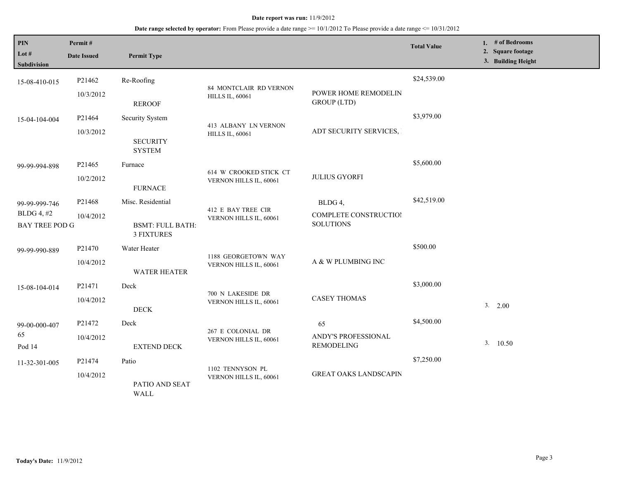| PIN<br>Lot #<br>Subdivision                                 | Permit#<br><b>Date Issued</b> | <b>Permit Type</b>                                                |                                                  |                                                      | <b>Total Value</b> | 1. # of Bedrooms<br>2. Square footage<br>3. Building Height |
|-------------------------------------------------------------|-------------------------------|-------------------------------------------------------------------|--------------------------------------------------|------------------------------------------------------|--------------------|-------------------------------------------------------------|
| 15-08-410-015                                               | P21462<br>10/3/2012           | Re-Roofing<br><b>REROOF</b>                                       | 84 MONTCLAIR RD VERNON<br><b>HILLS IL, 60061</b> | POWER HOME REMODELIN<br><b>GROUP</b> (LTD)           | \$24,539.00        |                                                             |
| 15-04-104-004                                               | P21464<br>10/3/2012           | Security System<br><b>SECURITY</b><br><b>SYSTEM</b>               | 413 ALBANY LN VERNON<br><b>HILLS IL, 60061</b>   | ADT SECURITY SERVICES,                               | \$3,979.00         |                                                             |
| 99-99-994-898                                               | P21465<br>10/2/2012           | Furnace<br><b>FURNACE</b>                                         | 614 W CROOKED STICK CT<br>VERNON HILLS IL, 60061 | <b>JULIUS GYORFI</b>                                 | \$5,600.00         |                                                             |
| 99-99-999-746<br><b>BLDG 4, #2</b><br><b>BAY TREE POD G</b> | P21468<br>10/4/2012           | Misc. Residential<br><b>BSMT: FULL BATH:</b><br><b>3 FIXTURES</b> | 412 E BAY TREE CIR<br>VERNON HILLS IL, 60061     | BLDG 4,<br>COMPLETE CONSTRUCTIOI<br><b>SOLUTIONS</b> | \$42,519.00        |                                                             |
| 99-99-990-889                                               | P21470<br>10/4/2012           | Water Heater<br><b>WATER HEATER</b>                               | 1188 GEORGETOWN WAY<br>VERNON HILLS IL, 60061    | A & W PLUMBING INC                                   | \$500.00           |                                                             |
| 15-08-104-014                                               | P21471<br>10/4/2012           | Deck<br><b>DECK</b>                                               | 700 N LAKESIDE DR<br>VERNON HILLS IL, 60061      | <b>CASEY THOMAS</b>                                  | \$3,000.00         | 3. 2.00                                                     |
| 99-00-000-407<br>65<br>Pod 14                               | P21472<br>10/4/2012           | Deck<br><b>EXTEND DECK</b>                                        | 267 E COLONIAL DR<br>VERNON HILLS IL, 60061      | 65<br>ANDY'S PROFESSIONAL<br><b>REMODELING</b>       | \$4,500.00         | 3.10.50                                                     |
| 11-32-301-005                                               | P21474<br>10/4/2012           | Patio<br>PATIO AND SEAT<br>WALL                                   | 1102 TENNYSON PL<br>VERNON HILLS IL, 60061       | <b>GREAT OAKS LANDSCAPIN</b>                         | \$7,250.00         |                                                             |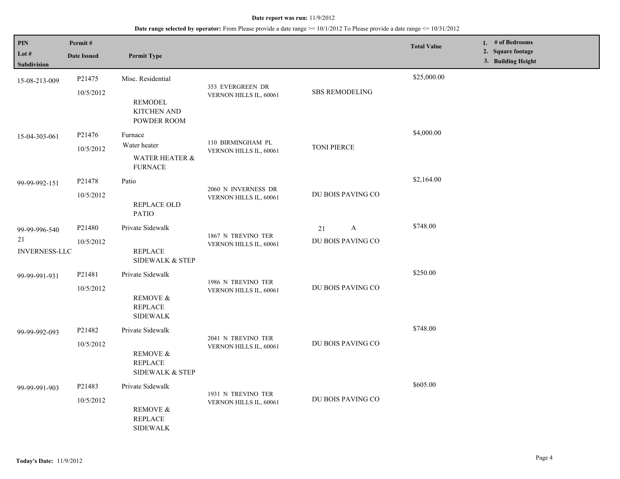| PIN                           | Permit#            |                                                          |                                               |                       | <b>Total Value</b> | 1. # of Bedrooms                        |
|-------------------------------|--------------------|----------------------------------------------------------|-----------------------------------------------|-----------------------|--------------------|-----------------------------------------|
| Lot $#$<br><b>Subdivision</b> | <b>Date Issued</b> | <b>Permit Type</b>                                       |                                               |                       |                    | 2. Square footage<br>3. Building Height |
| 15-08-213-009                 | P21475             | Misc. Residential                                        |                                               |                       | \$25,000.00        |                                         |
|                               | 10/5/2012          | <b>REMODEL</b><br><b>KITCHEN AND</b><br>POWDER ROOM      | 353 EVERGREEN DR<br>VERNON HILLS IL, 60061    | <b>SBS REMODELING</b> |                    |                                         |
| 15-04-303-061                 | P21476             | Furnace                                                  |                                               |                       | \$4,000.00         |                                         |
|                               | 10/5/2012          | Water heater                                             | 110 BIRMINGHAM PL<br>VERNON HILLS IL, 60061   | <b>TONI PIERCE</b>    |                    |                                         |
|                               |                    | <b>WATER HEATER &amp;</b><br><b>FURNACE</b>              |                                               |                       |                    |                                         |
| 99-99-992-151                 | P21478             | Patio                                                    |                                               |                       | \$2,164.00         |                                         |
|                               | 10/5/2012          | REPLACE OLD<br><b>PATIO</b>                              | 2060 N INVERNESS DR<br>VERNON HILLS IL, 60061 | DU BOIS PAVING CO     |                    |                                         |
| 99-99-996-540                 | P21480             | Private Sidewalk                                         |                                               | $\mathbf{A}$<br>21    | \$748.00           |                                         |
| 21<br><b>INVERNESS-LLC</b>    | 10/5/2012          | <b>REPLACE</b><br><b>SIDEWALK &amp; STEP</b>             | 1867 N TREVINO TER<br>VERNON HILLS IL, 60061  | DU BOIS PAVING CO     |                    |                                         |
| 99-99-991-931                 | P21481             | Private Sidewalk                                         |                                               |                       | \$250.00           |                                         |
|                               | 10/5/2012          | REMOVE &<br><b>REPLACE</b><br><b>SIDEWALK</b>            | 1986 N TREVINO TER<br>VERNON HILLS IL, 60061  | DU BOIS PAVING CO     |                    |                                         |
| 99-99-992-093                 | P21482             | Private Sidewalk                                         |                                               |                       | \$748.00           |                                         |
|                               | 10/5/2012          | <b>REMOVE &amp;</b><br><b>REPLACE</b><br>SIDEWALK & STEP | 2041 N TREVINO TER<br>VERNON HILLS IL, 60061  | DU BOIS PAVING CO     |                    |                                         |
| 99-99-991-903                 | P21483             | Private Sidewalk                                         |                                               |                       | \$605.00           |                                         |
|                               | 10/5/2012          | REMOVE &<br><b>REPLACE</b><br><b>SIDEWALK</b>            | 1931 N TREVINO TER<br>VERNON HILLS IL, 60061  | DU BOIS PAVING CO     |                    |                                         |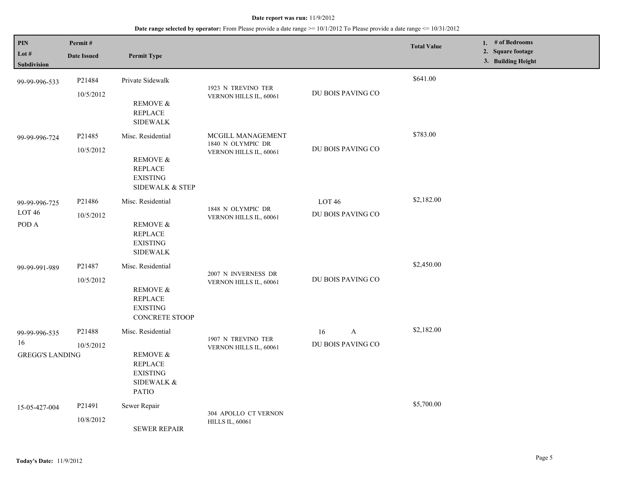| <b>PIN</b><br>Lot #<br>Subdivision            | Permit#<br><b>Date Issued</b>   | <b>Permit Type</b>                                                                                                     |                                                                  |                                        | <b>Total Value</b> | 1. # of Bedrooms<br>2. Square footage<br>3. Building Height |
|-----------------------------------------------|---------------------------------|------------------------------------------------------------------------------------------------------------------------|------------------------------------------------------------------|----------------------------------------|--------------------|-------------------------------------------------------------|
| 99-99-996-533                                 | P21484<br>10/5/2012             | Private Sidewalk<br><b>REMOVE &amp;</b><br><b>REPLACE</b><br><b>SIDEWALK</b>                                           | 1923 N TREVINO TER<br>VERNON HILLS IL, 60061                     | DU BOIS PAVING CO                      | \$641.00           |                                                             |
| 99-99-996-724                                 | P21485<br>10/5/2012             | Misc. Residential<br>REMOVE &<br><b>REPLACE</b><br><b>EXISTING</b><br>SIDEWALK & STEP                                  | MCGILL MANAGEMENT<br>1840 N OLYMPIC DR<br>VERNON HILLS IL, 60061 | DU BOIS PAVING CO                      | \$783.00           |                                                             |
| 99-99-996-725<br>$LOT46$<br>POD A             | P <sub>21486</sub><br>10/5/2012 | Misc. Residential<br><b>REMOVE &amp;</b><br><b>REPLACE</b><br><b>EXISTING</b><br><b>SIDEWALK</b>                       | 1848 N OLYMPIC DR<br>VERNON HILLS IL, 60061                      | LOT <sub>46</sub><br>DU BOIS PAVING CO | \$2,182.00         |                                                             |
| 99-99-991-989                                 | P21487<br>10/5/2012             | Misc. Residential<br>REMOVE &<br><b>REPLACE</b><br><b>EXISTING</b><br>CONCRETE STOOP                                   | 2007 N INVERNESS DR<br>VERNON HILLS IL, 60061                    | DU BOIS PAVING CO                      | \$2,450.00         |                                                             |
| 99-99-996-535<br>16<br><b>GREGG'S LANDING</b> | P21488<br>10/5/2012             | Misc. Residential<br><b>REMOVE &amp;</b><br><b>REPLACE</b><br><b>EXISTING</b><br><b>SIDEWALK &amp;</b><br><b>PATIO</b> | 1907 N TREVINO TER<br>VERNON HILLS IL, 60061                     | A<br>16<br>DU BOIS PAVING CO           | \$2,182.00         |                                                             |
| 15-05-427-004                                 | P21491<br>10/8/2012             | Sewer Repair<br><b>SEWER REPAIR</b>                                                                                    | 304 APOLLO CT VERNON<br><b>HILLS IL, 60061</b>                   |                                        | \$5,700.00         |                                                             |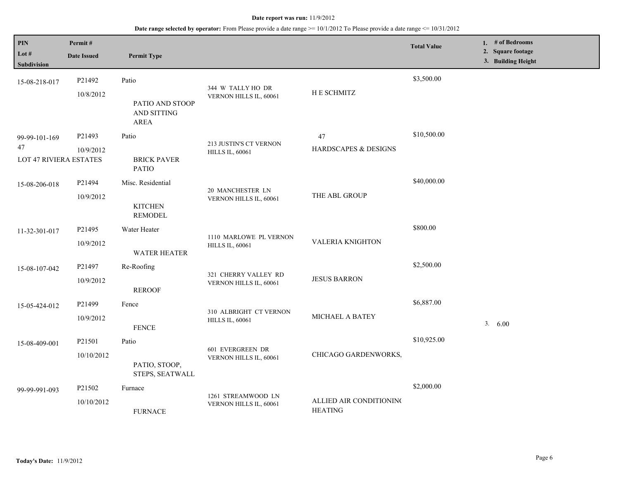| $\mathbf{PIN}$<br>Lot $#$<br>Subdivision      | Permit#<br><b>Date Issued</b> | <b>Permit Type</b>                                     |                                                  |                                           | <b>Total Value</b> | 1. $#$ of Bedrooms<br>2. Square footage<br>3. Building Height |
|-----------------------------------------------|-------------------------------|--------------------------------------------------------|--------------------------------------------------|-------------------------------------------|--------------------|---------------------------------------------------------------|
| 15-08-218-017                                 | P21492<br>10/8/2012           | Patio<br>PATIO AND STOOP<br>AND SITTING<br><b>AREA</b> | 344 W TALLY HO DR<br>VERNON HILLS IL, 60061      | H E SCHMITZ                               | \$3,500.00         |                                                               |
| 99-99-101-169<br>47<br>LOT 47 RIVIERA ESTATES | P21493<br>10/9/2012           | Patio<br><b>BRICK PAVER</b><br><b>PATIO</b>            | 213 JUSTIN'S CT VERNON<br><b>HILLS IL, 60061</b> | 47<br>HARDSCAPES & DESIGNS                | \$10,500.00        |                                                               |
| 15-08-206-018                                 | P21494<br>10/9/2012           | Misc. Residential<br><b>KITCHEN</b><br><b>REMODEL</b>  | 20 MANCHESTER LN<br>VERNON HILLS IL, 60061       | THE ABL GROUP                             | \$40,000.00        |                                                               |
| 11-32-301-017                                 | P21495<br>10/9/2012           | Water Heater<br><b>WATER HEATER</b>                    | 1110 MARLOWE PL VERNON<br><b>HILLS IL, 60061</b> | <b>VALERIA KNIGHTON</b>                   | \$800.00           |                                                               |
| 15-08-107-042                                 | P21497<br>10/9/2012           | Re-Roofing<br><b>REROOF</b>                            | 321 CHERRY VALLEY RD<br>VERNON HILLS IL, 60061   | <b>JESUS BARRON</b>                       | \$2,500.00         |                                                               |
| 15-05-424-012                                 | P21499<br>10/9/2012           | Fence<br><b>FENCE</b>                                  | 310 ALBRIGHT CT VERNON<br><b>HILLS IL, 60061</b> | <b>MICHAEL A BATEY</b>                    | \$6,887.00         | 3. 6.00                                                       |
| 15-08-409-001                                 | P21501<br>10/10/2012          | Patio<br>PATIO, STOOP,<br>STEPS, SEATWALL              | 601 EVERGREEN DR<br>VERNON HILLS IL, 60061       | CHICAGO GARDENWORKS,                      | \$10,925.00        |                                                               |
| 99-99-991-093                                 | P21502<br>10/10/2012          | Furnace<br><b>FURNACE</b>                              | 1261 STREAMWOOD LN<br>VERNON HILLS IL, 60061     | ALLIED AIR CONDITIONING<br><b>HEATING</b> | \$2,000.00         |                                                               |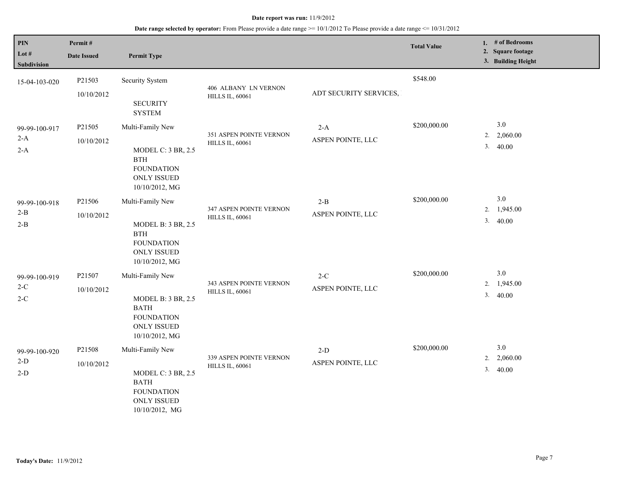| PIN<br>Lot #<br>Subdivision     | Permit#<br><b>Date Issued</b>    | <b>Permit Type</b>                                                                                                        |                                                   |                            | <b>Total Value</b> | 1. $#$ of Bedrooms<br>2. Square footage<br>3. Building Height |
|---------------------------------|----------------------------------|---------------------------------------------------------------------------------------------------------------------------|---------------------------------------------------|----------------------------|--------------------|---------------------------------------------------------------|
| 15-04-103-020                   | P21503<br>10/10/2012             | Security System<br><b>SECURITY</b><br><b>SYSTEM</b>                                                                       | 406 ALBANY LN VERNON<br><b>HILLS IL, 60061</b>    | ADT SECURITY SERVICES,     | \$548.00           |                                                               |
| 99-99-100-917<br>$2-A$<br>$2-A$ | P21505<br>10/10/2012             | Multi-Family New<br><b>MODEL C: 3 BR, 2.5</b><br><b>BTH</b><br><b>FOUNDATION</b><br>ONLY ISSUED<br>10/10/2012, MG         | 351 ASPEN POINTE VERNON<br><b>HILLS IL, 60061</b> | $2-A$<br>ASPEN POINTE, LLC | \$200,000.00       | 3.0<br>2,060.00<br>2.<br>3.40.00                              |
| 99-99-100-918<br>$2-B$<br>$2-B$ | P21506<br>10/10/2012             | Multi-Family New<br><b>MODEL B: 3 BR, 2.5</b><br><b>BTH</b><br><b>FOUNDATION</b><br><b>ONLY ISSUED</b><br>10/10/2012, MG  | 347 ASPEN POINTE VERNON<br><b>HILLS IL, 60061</b> | $2-B$<br>ASPEN POINTE, LLC | \$200,000.00       | $3.0$<br>2. 1,945.00<br>3.40.00                               |
| 99-99-100-919<br>$2-C$<br>$2-C$ | P <sub>21507</sub><br>10/10/2012 | Multi-Family New<br>MODEL B: 3 BR, 2.5<br><b>BATH</b><br><b>FOUNDATION</b><br><b>ONLY ISSUED</b><br>10/10/2012, MG        | 343 ASPEN POINTE VERNON<br><b>HILLS IL, 60061</b> | $2-C$<br>ASPEN POINTE, LLC | \$200,000.00       | $3.0$<br>2.<br>1,945.00<br>3.40.00                            |
| 99-99-100-920<br>$2-D$<br>$2-D$ | P21508<br>10/10/2012             | Multi-Family New<br><b>MODEL C: 3 BR, 2.5</b><br><b>BATH</b><br><b>FOUNDATION</b><br><b>ONLY ISSUED</b><br>10/10/2012, MG | 339 ASPEN POINTE VERNON<br><b>HILLS IL, 60061</b> | $2-D$<br>ASPEN POINTE, LLC | \$200,000.00       | 3.0<br>2. 2,060.00<br>3.40.00                                 |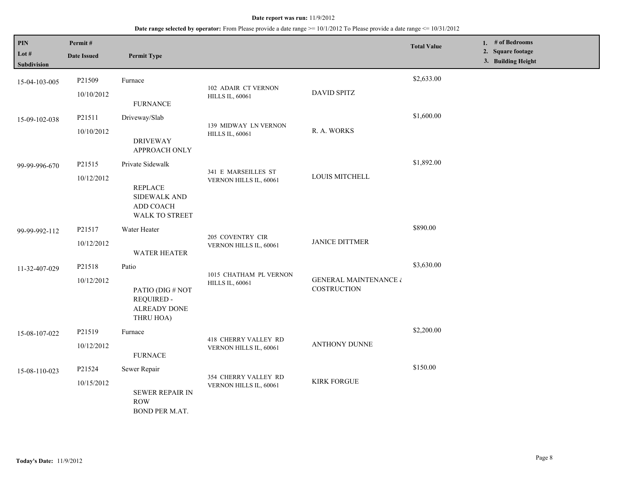| PIN<br>Lot #<br>Subdivision | Permit#<br><b>Date Issued</b> | <b>Permit Type</b>                                                                              |                                                  |                                                 | <b>Total Value</b> |  | 1. # of Bedrooms<br>2. Square footage<br>3. Building Height |  |
|-----------------------------|-------------------------------|-------------------------------------------------------------------------------------------------|--------------------------------------------------|-------------------------------------------------|--------------------|--|-------------------------------------------------------------|--|
| 15-04-103-005               | P21509<br>10/10/2012          | Furnace<br><b>FURNANCE</b>                                                                      | 102 ADAIR CT VERNON<br><b>HILLS IL, 60061</b>    | <b>DAVID SPITZ</b>                              | \$2,633.00         |  |                                                             |  |
| 15-09-102-038               | P21511<br>10/10/2012          | Driveway/Slab<br><b>DRIVEWAY</b><br>APPROACH ONLY                                               | 139 MIDWAY LN VERNON<br><b>HILLS IL, 60061</b>   | R. A. WORKS                                     | \$1,600.00         |  |                                                             |  |
| 99-99-996-670               | P21515<br>10/12/2012          | Private Sidewalk<br><b>REPLACE</b><br><b>SIDEWALK AND</b><br>ADD COACH<br><b>WALK TO STREET</b> | 341 E MARSEILLES ST<br>VERNON HILLS IL, 60061    | LOUIS MITCHELL                                  | \$1,892.00         |  |                                                             |  |
| 99-99-992-112               | P21517<br>10/12/2012          | Water Heater<br>WATER HEATER                                                                    | 205 COVENTRY CIR<br>VERNON HILLS IL, 60061       | <b>JANICE DITTMER</b>                           | \$890.00           |  |                                                             |  |
| 11-32-407-029               | P21518<br>10/12/2012          | Patio<br>PATIO (DIG # NOT<br><b>REQUIRED -</b><br><b>ALREADY DONE</b><br>THRU HOA)              | 1015 CHATHAM PL VERNON<br><b>HILLS IL, 60061</b> | <b>GENERAL MAINTENANCE &amp;</b><br>COSTRUCTION | \$3,630.00         |  |                                                             |  |
| 15-08-107-022               | P21519<br>10/12/2012          | Furnace<br><b>FURNACE</b>                                                                       | 418 CHERRY VALLEY RD<br>VERNON HILLS IL, 60061   | ANTHONY DUNNE                                   | \$2,200.00         |  |                                                             |  |
| 15-08-110-023               | P21524<br>10/15/2012          | Sewer Repair<br><b>SEWER REPAIR IN</b><br><b>ROW</b><br>BOND PER M.AT.                          | 354 CHERRY VALLEY RD<br>VERNON HILLS IL, 60061   | <b>KIRK FORGUE</b>                              | \$150.00           |  |                                                             |  |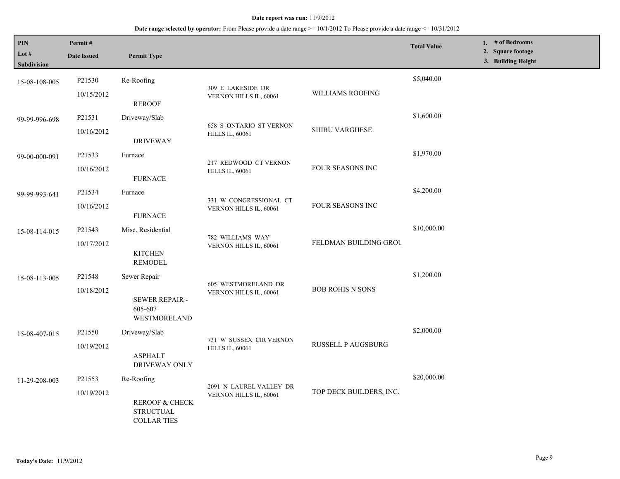| PIN<br>Lot #<br>Subdivision | Permit#<br><b>Date Issued</b> | <b>Permit Type</b>                                                          |                                                          |                         | <b>Total Value</b> | 1. # of Bedrooms<br>2. Square footage<br>3. Building Height |
|-----------------------------|-------------------------------|-----------------------------------------------------------------------------|----------------------------------------------------------|-------------------------|--------------------|-------------------------------------------------------------|
| 15-08-108-005               | P21530<br>10/15/2012          | Re-Roofing                                                                  | 309 E LAKESIDE DR<br>VERNON HILLS IL, 60061              | WILLIAMS ROOFING        | \$5,040.00         |                                                             |
| 99-99-996-698               | P21531<br>10/16/2012          | <b>REROOF</b><br>Driveway/Slab                                              | <b>658 S ONTARIO ST VERNON</b><br><b>HILLS IL, 60061</b> | SHIBU VARGHESE          | \$1,600.00         |                                                             |
| 99-00-000-091               | P21533<br>10/16/2012          | <b>DRIVEWAY</b><br>Furnace<br><b>FURNACE</b>                                | 217 REDWOOD CT VERNON<br><b>HILLS IL, 60061</b>          | FOUR SEASONS INC        | \$1,970.00         |                                                             |
| 99-99-993-641               | P21534<br>10/16/2012          | Furnace<br><b>FURNACE</b>                                                   | 331 W CONGRESSIONAL CT<br>VERNON HILLS IL, 60061         | FOUR SEASONS INC        | \$4,200.00         |                                                             |
| 15-08-114-015               | P21543<br>10/17/2012          | Misc. Residential<br><b>KITCHEN</b>                                         | 782 WILLIAMS WAY<br>VERNON HILLS IL, 60061               | FELDMAN BUILDING GROU   | \$10,000.00        |                                                             |
| 15-08-113-005               | P21548<br>10/18/2012          | REMODEL<br>Sewer Repair<br><b>SEWER REPAIR -</b><br>605-607<br>WESTMORELAND | 605 WESTMORELAND DR<br>VERNON HILLS IL, 60061            | <b>BOB ROHIS N SONS</b> | \$1,200.00         |                                                             |
| 15-08-407-015               | P21550<br>10/19/2012          | Driveway/Slab<br><b>ASPHALT</b><br>DRIVEWAY ONLY                            | 731 W SUSSEX CIR VERNON<br><b>HILLS IL, 60061</b>        | RUSSELL P AUGSBURG      | \$2,000.00         |                                                             |
| 11-29-208-003               | P21553<br>10/19/2012          | Re-Roofing<br>REROOF & CHECK<br><b>STRUCTUAL</b><br><b>COLLAR TIES</b>      | 2091 N LAUREL VALLEY DR<br>VERNON HILLS IL, 60061        | TOP DECK BUILDERS, INC. | \$20,000.00        |                                                             |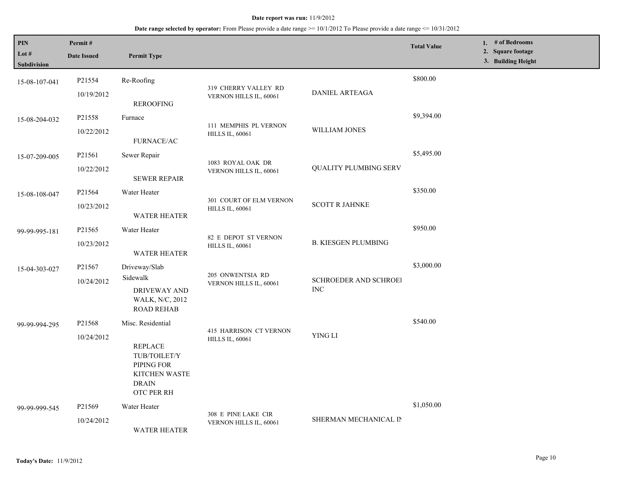| PIN<br>Lot #<br>Subdivision | Permit#<br><b>Date Issued</b> | <b>Permit Type</b>                                                                                               |                                                   |                                            | <b>Total Value</b> | 1. # of Bedrooms<br>2. Square footage<br>3. Building Height |
|-----------------------------|-------------------------------|------------------------------------------------------------------------------------------------------------------|---------------------------------------------------|--------------------------------------------|--------------------|-------------------------------------------------------------|
| 15-08-107-041               | P21554<br>10/19/2012          | Re-Roofing<br><b>REROOFING</b>                                                                                   | 319 CHERRY VALLEY RD<br>VERNON HILLS IL, 60061    | <b>DANIEL ARTEAGA</b>                      | \$800.00           |                                                             |
| 15-08-204-032               | P21558<br>10/22/2012          | Furnace<br><b>FURNACE/AC</b>                                                                                     | 111 MEMPHIS PL VERNON<br><b>HILLS IL, 60061</b>   | WILLIAM JONES                              | \$9,394.00         |                                                             |
| 15-07-209-005               | P21561<br>10/22/2012          | Sewer Repair<br><b>SEWER REPAIR</b>                                                                              | 1083 ROYAL OAK DR<br>VERNON HILLS IL, 60061       | <b>QUALITY PLUMBING SERV</b>               | \$5,495.00         |                                                             |
| 15-08-108-047               | P21564<br>10/23/2012          | Water Heater<br><b>WATER HEATER</b>                                                                              | 301 COURT OF ELM VERNON<br><b>HILLS IL, 60061</b> | <b>SCOTT R JAHNKE</b>                      | \$350.00           |                                                             |
| 99-99-995-181               | P21565<br>10/23/2012          | Water Heater<br>WATER HEATER                                                                                     | 82 E DEPOT ST VERNON<br><b>HILLS IL, 60061</b>    | <b>B. KIESGEN PLUMBING</b>                 | \$950.00           |                                                             |
| 15-04-303-027               | P21567<br>10/24/2012          | Driveway/Slab<br>Sidewalk<br>DRIVEWAY AND<br>WALK, N/C, 2012<br><b>ROAD REHAB</b>                                | 205 ONWENTSIA RD<br>VERNON HILLS IL, 60061        | <b>SCHROEDER AND SCHROEI</b><br><b>INC</b> | \$3,000.00         |                                                             |
| 99-99-994-295               | P21568<br>10/24/2012          | Misc. Residential<br><b>REPLACE</b><br>TUB/TOILET/Y<br>PIPING FOR<br>KITCHEN WASTE<br><b>DRAIN</b><br>OTC PER RH | 415 HARRISON CT VERNON<br><b>HILLS IL, 60061</b>  | YING LI                                    | \$540.00           |                                                             |
| 99-99-999-545               | P21569<br>10/24/2012          | Water Heater<br><b>WATER HEATER</b>                                                                              | 308 E PINE LAKE CIR<br>VERNON HILLS IL, 60061     | SHERMAN MECHANICAL IN                      | \$1,050.00         |                                                             |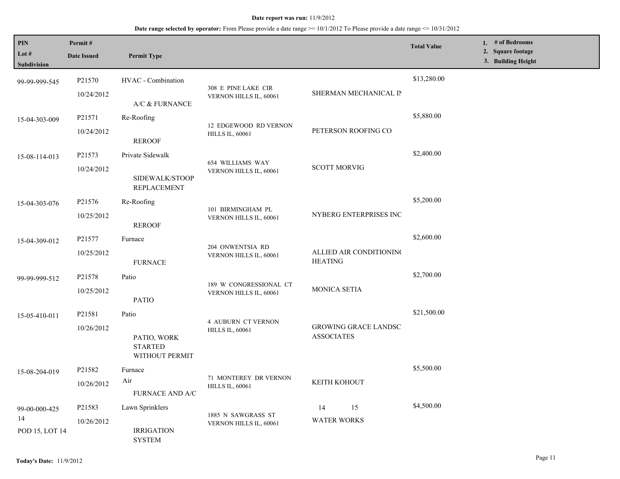| PIN<br>Lot $#$       | Permit#<br><b>Date Issued</b> | <b>Permit Type</b>                              |                                                 |                                                  | <b>Total Value</b> | 1. $#$ of Bedrooms<br>2. Square footage |
|----------------------|-------------------------------|-------------------------------------------------|-------------------------------------------------|--------------------------------------------------|--------------------|-----------------------------------------|
| Subdivision          |                               |                                                 |                                                 |                                                  |                    | 3. Building Height                      |
| 99-99-999-545        | P21570                        | HVAC - Combination                              | 308 E PINE LAKE CIR                             |                                                  | \$13,280.00        |                                         |
|                      | 10/24/2012                    | A/C & FURNANCE                                  | VERNON HILLS IL, 60061                          | SHERMAN MECHANICAL IN                            |                    |                                         |
| 15-04-303-009        | P21571                        | Re-Roofing                                      | 12 EDGEWOOD RD VERNON                           |                                                  | \$5,880.00         |                                         |
|                      | 10/24/2012                    | <b>REROOF</b>                                   | <b>HILLS IL, 60061</b>                          | PETERSON ROOFING CO                              |                    |                                         |
| 15-08-114-013        | P21573                        | Private Sidewalk                                | 654 WILLIAMS WAY                                |                                                  | \$2,400.00         |                                         |
|                      | 10/24/2012                    | SIDEWALK/STOOP<br><b>REPLACEMENT</b>            | VERNON HILLS IL, 60061                          | <b>SCOTT MORVIG</b>                              |                    |                                         |
| 15-04-303-076        | P <sub>21576</sub>            | Re-Roofing                                      | 101 BIRMINGHAM PL                               |                                                  | \$5,200.00         |                                         |
|                      | 10/25/2012                    | <b>REROOF</b>                                   | VERNON HILLS IL, 60061                          | NYBERG ENTERPRISES INC                           |                    |                                         |
| 15-04-309-012        | P21577                        | Furnace                                         | 204 ONWENTSIA RD                                |                                                  | \$2,600.00         |                                         |
|                      | 10/25/2012                    | <b>FURNACE</b>                                  | VERNON HILLS IL, 60061                          | ALLIED AIR CONDITIONING<br><b>HEATING</b>        |                    |                                         |
| 99-99-999-512        | P21578                        | Patio                                           | 189 W CONGRESSIONAL CT                          | MONICA SETIA                                     | \$2,700.00         |                                         |
|                      | 10/25/2012                    | <b>PATIO</b>                                    | VERNON HILLS IL, 60061                          |                                                  |                    |                                         |
| 15-05-410-011        | P21581                        | Patio                                           | <b>4 AUBURN CT VERNON</b>                       |                                                  | \$21,500.00        |                                         |
|                      | 10/26/2012                    | PATIO, WORK<br><b>STARTED</b><br>WITHOUT PERMIT | <b>HILLS IL, 60061</b>                          | <b>GROWING GRACE LANDSC</b><br><b>ASSOCIATES</b> |                    |                                         |
| 15-08-204-019        | P21582                        | Furnace                                         |                                                 |                                                  | \$5,500.00         |                                         |
|                      | 10/26/2012                    | Air<br>FURNACE AND A/C                          | 71 MONTEREY DR VERNON<br><b>HILLS IL, 60061</b> | KEITH KOHOUT                                     |                    |                                         |
| 99-00-000-425        | P21583                        | Lawn Sprinklers                                 | 1885 N SAWGRASS ST                              | 15<br>14                                         | \$4,500.00         |                                         |
| 14<br>POD 15, LOT 14 | 10/26/2012                    | <b>IRRIGATION</b><br><b>SYSTEM</b>              | VERNON HILLS IL, 60061                          | <b>WATER WORKS</b>                               |                    |                                         |